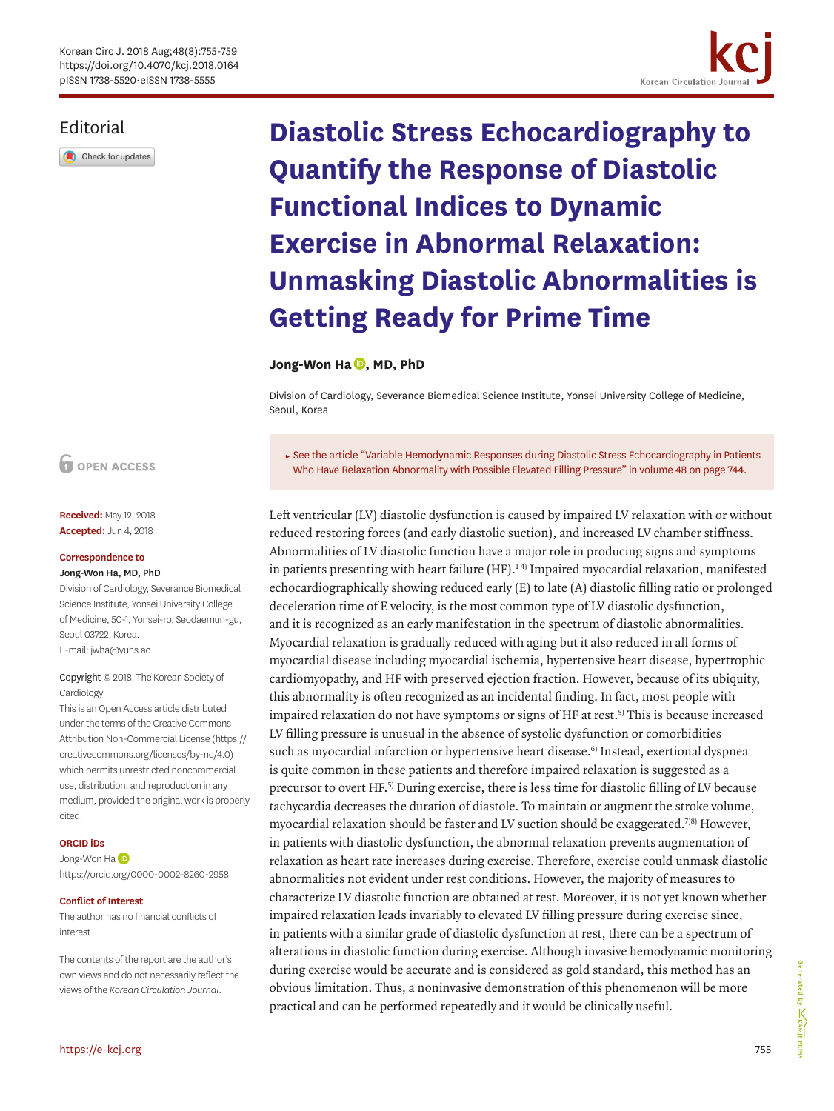

# Editorial

Check for updates

**Diastolic Stress Echocardiography to Quantify the Response of Diastolic Functional Indices to Dynamic Exercise in Abnormal Relaxation: Unmasking Diastolic Abnormalities is Getting Ready for Prime Time**

### **Jong-Won Ha<sup>D</sup>[,](https://orcid.org/0000-0002-8260-2958) MD, PhD**

Division of Cardiology, Severance Biomedical Science Institute, Yonsei University College of Medicine, Seoul, Korea

**O** OPEN ACCESS

**Received:** May 12, 2018 **Accepted:** Jun 4, 2018

## **Correspondence to**

Jong-Won Ha, MD, PhD

Division of Cardiology, Severance Biomedical Science Institute, Yonsei University College of Medicine, 50-1, Yonsei-ro, Seodaemun-gu, Seoul 03722, Korea. E-mail: jwha@yuhs.ac

Copyright © 2018. The Korean Society of Cardiology

This is an Open Access article distributed under the terms of the Creative Commons Attribution Non-Commercial License [\(https://](https://creativecommons.org/licenses/by-nc/4.0) [creativecommons.org/licenses/by-nc/4.0](https://creativecommons.org/licenses/by-nc/4.0)) which permits unrestricted noncommercial use, distribution, and reproduction in any medium, provided the original work is properly cited.

#### **ORCID iDs**

Jong-Won Ha <https://orcid.org/0000-0002-8260-2958>

#### **Conflict of Interest**

The author has no financial conflicts of interest.

The contents of the report are the author's own views and do not necessarily reflect the views of the *Korean Circulation Journal*.

<span id="page-0-0"></span>► [See the article "Variable Hemodynamic Responses during Diastolic Stress Echocardiography in Patients](https://e-kcj.org/DOIx.php?id=10.4070/kcj.2018.0046)  [Who Have Relaxation Abnormality with Possible Elevated Filling Pressure" in volume 48 on page 744.](https://e-kcj.org/DOIx.php?id=10.4070/kcj.2018.0046)

<span id="page-0-3"></span><span id="page-0-2"></span><span id="page-0-1"></span>Left ventricular (LV) diastolic dysfunction is caused by impaired LV relaxation with or without reduced restoring forces (and early diastolic suction), and increased LV chamber stiffness. Abnormalities of LV diastolic function have a major role in producing signs and symptoms in patients presenting with heart failure  $(HF)$ .<sup>14</sup> Impaired myocardial relaxation, manifested echocardiographically showing reduced early (E) to late (A) diastolic filling ratio or prolonged deceleration time of E velocity, is the most common type of LV diastolic dysfunction, and it is recognized as an early manifestation in the spectrum of diastolic abnormalities. Myocardial relaxation is gradually reduced with aging but it also reduced in all forms of myocardial disease including myocardial ischemia, hypertensive heart disease, hypertrophic cardiomyopathy, and HF with preserved ejection fraction. However, because of its ubiquity, this abnormality is often recognized as an incidental finding. In fact, most people with impaired relaxation do not have symptoms or signs of HF at rest.<sup>[5\)](#page-3-1)</sup> This is because increased LV filling pressure is unusual in the absence of systolic dysfunction or comorbidities such as myocardial infarction or hypertensive heart disease.<sup>6)</sup> Instead, exertional dyspnea is quite common in these patients and therefore impaired relaxation is suggested as a precursor to overt HF[.5\)](#page-3-1) During exercise, there is less time for diastolic filling of LV because tachycardia decreases the duration of diastole. To maintain or augment the stroke volume, myocardial relaxation should be faster and LV suction should be exaggerated.<sup>7)[8\)](#page-3-4)</sup> However, in patients with diastolic dysfunction, the abnormal relaxation prevents augmentation of relaxation as heart rate increases during exercise. Therefore, exercise could unmask diastolic abnormalities not evident under rest conditions. However, the majority of measures to characterize LV diastolic function are obtained at rest. Moreover, it is not yet known whether impaired relaxation leads invariably to elevated LV filling pressure during exercise since, in patients with a similar grade of diastolic dysfunction at rest, there can be a spectrum of alterations in diastolic function during exercise. Although invasive hemodynamic monitoring during exercise would be accurate and is considered as gold standard, this method has an obvious limitation. Thus, a noninvasive demonstration of this phenomenon will be more practical and can be performed repeatedly and it would be clinically useful.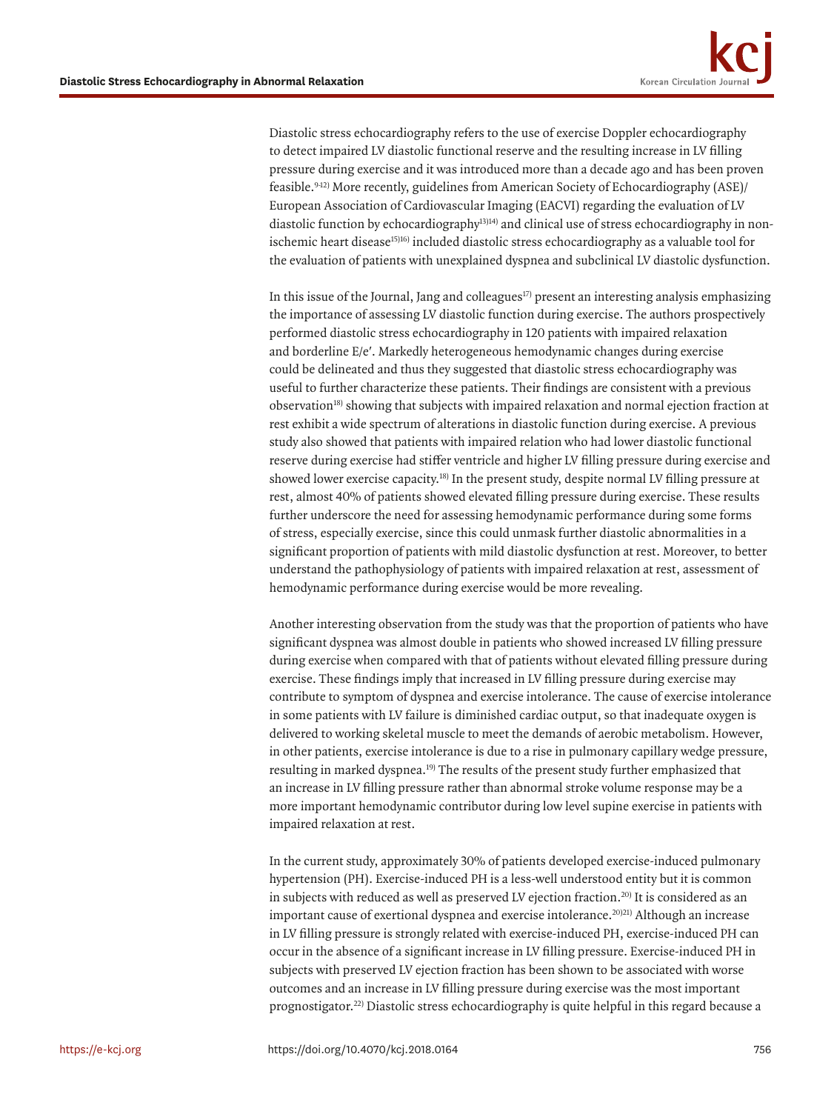Diastolic stress echocardiography refers to the use of exercise Doppler echocardiography to detect impaired LV diastolic functional reserve and the resulting increase in LV filling pressure during exercise and it was introduced more than a decade ago and has been proven feasible.[9](#page-3-5)[-12\)](#page-3-6) More recently, guidelines from American Society of Echocardiography (ASE)/ European Association of Cardiovascular Imaging (EACVI) regarding the evaluation of LV diastolic function by echocardiography<sup>[13\)](#page-3-7)14)</sup> and clinical use of stress echocardiography in nonischemic heart diseas[e15\)](#page-3-9)[16\)](#page-3-10) included diastolic stress echocardiography as a valuable tool for the evaluation of patients with unexplained dyspnea and subclinical LV diastolic dysfunction.

<span id="page-1-1"></span><span id="page-1-0"></span>In this issue of the Journal, Jang and colleagues<sup> $17$ </sup> present an interesting analysis emphasizing the importance of assessing LV diastolic function during exercise. The authors prospectively performed diastolic stress echocardiography in 120 patients with impaired relaxation and borderline E/e′. Markedly heterogeneous hemodynamic changes during exercise could be delineated and thus they suggested that diastolic stress echocardiography was useful to further characterize these patients. Their findings are consistent with a previous observation<sup>18)</sup> showing that subjects with impaired relaxation and normal ejection fraction at rest exhibit a wide spectrum of alterations in diastolic function during exercise. A previous study also showed that patients with impaired relation who had lower diastolic functional reserve during exercise had stiffer ventricle and higher LV filling pressure during exercise and showed lower exercise capacity.[18\)](#page-3-12) In the present study, despite normal LV filling pressure at rest, almost 40% of patients showed elevated filling pressure during exercise. These results further underscore the need for assessing hemodynamic performance during some forms of stress, especially exercise, since this could unmask further diastolic abnormalities in a significant proportion of patients with mild diastolic dysfunction at rest. Moreover, to better understand the pathophysiology of patients with impaired relaxation at rest, assessment of hemodynamic performance during exercise would be more revealing.

<span id="page-1-2"></span>Another interesting observation from the study was that the proportion of patients who have significant dyspnea was almost double in patients who showed increased LV filling pressure during exercise when compared with that of patients without elevated filling pressure during exercise. These findings imply that increased in LV filling pressure during exercise may contribute to symptom of dyspnea and exercise intolerance. The cause of exercise intolerance in some patients with LV failure is diminished cardiac output, so that inadequate oxygen is delivered to working skeletal muscle to meet the demands of aerobic metabolism. However, in other patients, exercise intolerance is due to a rise in pulmonary capillary wedge pressure, resulting in marked dyspnea[.19\)](#page-4-0) The results of the present study further emphasized that an increase in LV filling pressure rather than abnormal stroke volume response may be a more important hemodynamic contributor during low level supine exercise in patients with impaired relaxation at rest.

<span id="page-1-5"></span><span id="page-1-4"></span><span id="page-1-3"></span>In the current study, approximately 30% of patients developed exercise-induced pulmonary hypertension (PH). Exercise-induced PH is a less-well understood entity but it is common in subjects with reduced as well as preserved LV ejection fraction.<sup>[20\)](#page-4-1)</sup> It is considered as an important cause of exertional dyspnea and exercise intolerance.<sup>20)21)</sup> Although an increase in LV filling pressure is strongly related with exercise-induced PH, exercise-induced PH can occur in the absence of a significant increase in LV filling pressure. Exercise-induced PH in subjects with preserved LV ejection fraction has been shown to be associated with worse outcomes and an increase in LV filling pressure during exercise was the most important prognostigator.[22\)](#page-4-3) Diastolic stress echocardiography is quite helpful in this regard because a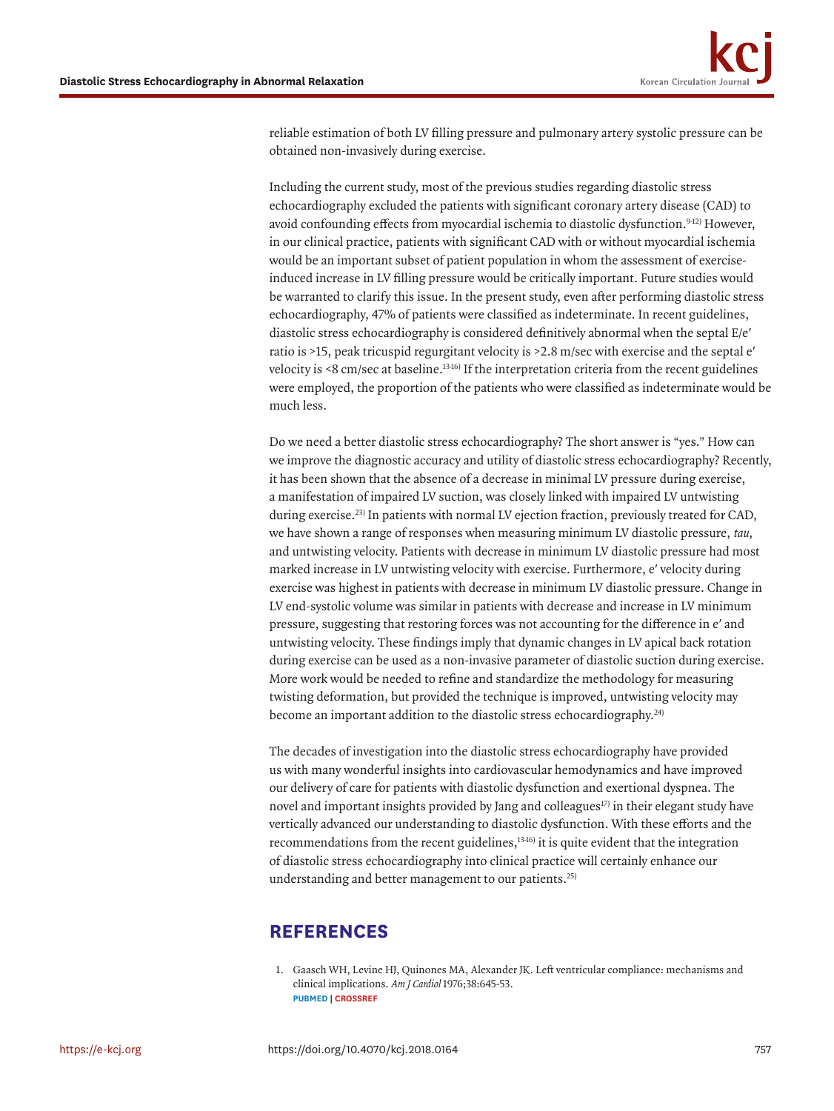reliable estimation of both LV filling pressure and pulmonary artery systolic pressure can be obtained non-invasively during exercise.

<span id="page-2-1"></span>Including the current study, most of the previous studies regarding diastolic stress echocardiography excluded the patients with significant coronary artery disease (CAD) to avoid confounding effects from myocardial ischemia to diastolic dysfunction.<sup>942)</sup> However, in our clinical practice, patients with significant CAD with or without myocardial ischemia would be an important subset of patient population in whom the assessment of exerciseinduced increase in LV filling pressure would be critically important. Future studies would be warranted to clarify this issue. In the present study, even after performing diastolic stress echocardiography, 47% of patients were classified as indeterminate. In recent guidelines, diastolic stress echocardiography is considered definitively abnormal when the septal E/e′ ratio is >15, peak tricuspid regurgitant velocity is >2.8 m/sec with exercise and the septal e′ velocity is <8 cm/sec at baseline.<sup>13[-16\)](#page-3-10)</sup> If the interpretation criteria from the recent guidelines were employed, the proportion of the patients who were classified as indeterminate would be much less.

<span id="page-2-4"></span>Do we need a better diastolic stress echocardiography? The short answer is "yes." How can we improve the diagnostic accuracy and utility of diastolic stress echocardiography? Recently, it has been shown that the absence of a decrease in minimal LV pressure during exercise, a manifestation of impaired LV suction, was closely linked with impaired LV untwisting during exercise.[23\)](#page-4-4) In patients with normal LV ejection fraction, previously treated for CAD, we have shown a range of responses when measuring minimum LV diastolic pressure, *tau*, and untwisting velocity. Patients with decrease in minimum LV diastolic pressure had most marked increase in LV untwisting velocity with exercise. Furthermore, e′ velocity during exercise was highest in patients with decrease in minimum LV diastolic pressure. Change in LV end-systolic volume was similar in patients with decrease and increase in LV minimum pressure, suggesting that restoring forces was not accounting for the difference in e′ and untwisting velocity. These findings imply that dynamic changes in LV apical back rotation during exercise can be used as a non-invasive parameter of diastolic suction during exercise. More work would be needed to refine and standardize the methodology for measuring twisting deformation, but provided the technique is improved, untwisting velocity may become an important addition to the diastolic stress echocardiography[.24\)](#page-4-5)

<span id="page-2-5"></span><span id="page-2-3"></span>The decades of investigation into the diastolic stress echocardiography have provided us with many wonderful insights into cardiovascular hemodynamics and have improved our delivery of care for patients with diastolic dysfunction and exertional dyspnea. The novel and important insights provided by Jang and colleagues<sup>17)</sup> in their elegant study have vertically advanced our understanding to diastolic dysfunction. With these efforts and the recommendations from the recent guidelines, $13-16$  $13-16$  it is quite evident that the integration of diastolic stress echocardiography into clinical practice will certainly enhance our understanding and better management to our patients.<sup>[25\)](#page-4-6)</sup>

## <span id="page-2-2"></span>**REFERENCES**

<span id="page-2-6"></span><span id="page-2-0"></span>[1.](#page-0-0) Gaasch WH, Levine HJ, Quinones MA, Alexander JK. Left ventricular compliance: mechanisms and clinical implications. *Am J Cardiol* 1976;38:645-53. **[PUBMED](http://www.ncbi.nlm.nih.gov/pubmed/136186) | [CROSSREF](https://doi.org/10.1016/S0002-9149(76)80015-X)**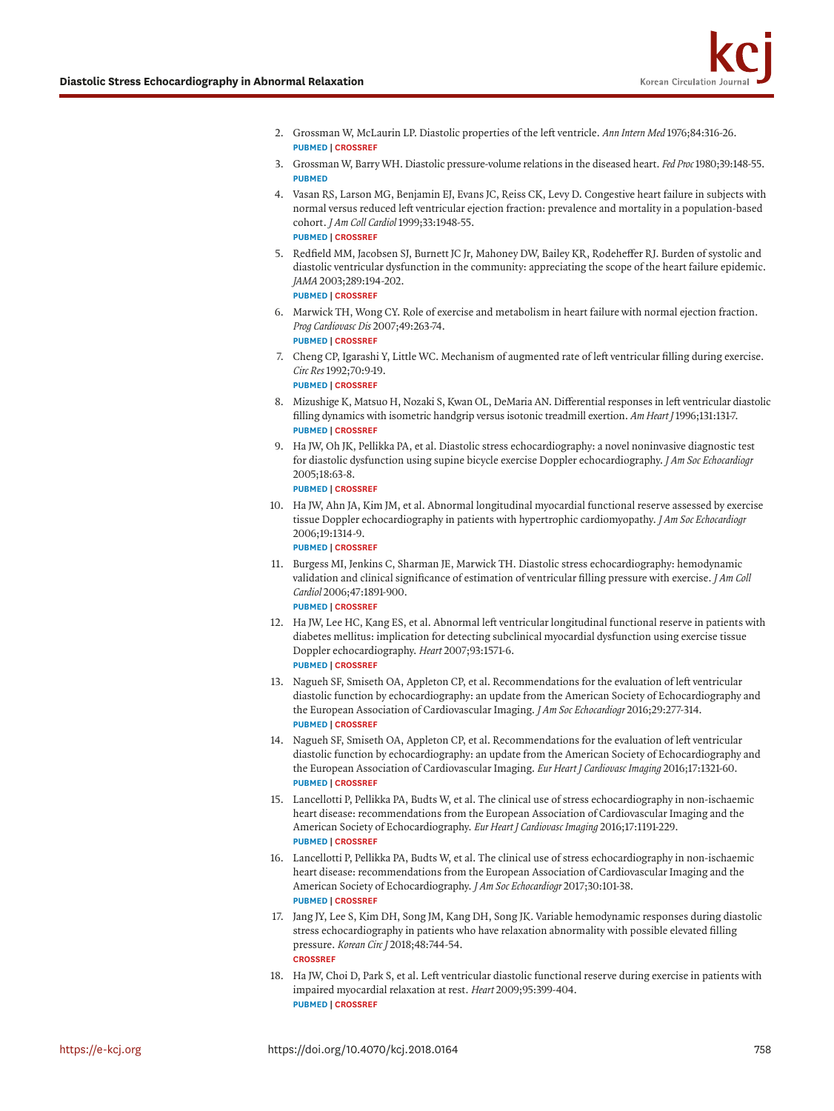- 2. Grossman W, McLaurin LP. Diastolic properties of the left ventricle. *Ann Intern Med* 1976;84:316-26. **[PUBMED](http://www.ncbi.nlm.nih.gov/pubmed/769626) | [CROSSREF](https://doi.org/10.7326/0003-4819-84-3-316)**
- 3. Grossman W, Barry WH. Diastolic pressure-volume relations in the diseased heart. *Fed Proc* 1980;39:148-55. **[PUBMED](http://www.ncbi.nlm.nih.gov/pubmed/6444388)**
- <span id="page-3-0"></span>[4.](#page-0-0) Vasan RS, Larson MG, Benjamin EJ, Evans JC, Reiss CK, Levy D. Congestive heart failure in subjects with normal versus reduced left ventricular ejection fraction: prevalence and mortality in a population-based cohort. *J Am Coll Cardiol* 1999;33:1948-55. **[PUBMED](http://www.ncbi.nlm.nih.gov/pubmed/10362198) | [CROSSREF](https://doi.org/10.1016/S0735-1097(99)00118-7)**
- <span id="page-3-1"></span>[5.](#page-0-1) Redfield MM, Jacobsen SJ, Burnett JC Jr, Mahoney DW, Bailey KR, Rodeheffer RJ. Burden of systolic and diastolic ventricular dysfunction in the community: appreciating the scope of the heart failure epidemic. *JAMA* 2003;289:194-202. **[PUBMED](http://www.ncbi.nlm.nih.gov/pubmed/12517230) | [CROSSREF](https://doi.org/10.1001/jama.289.2.194)**
- <span id="page-3-2"></span>[6.](#page-0-2) Marwick TH, Wong CY. Role of exercise and metabolism in heart failure with normal ejection fraction. *Prog Cardiovasc Dis* 2007;49:263-74. **[PUBMED](http://www.ncbi.nlm.nih.gov/pubmed/17185114) | [CROSSREF](https://doi.org/10.1016/j.pcad.2006.08.006)**
- <span id="page-3-3"></span>[7.](#page-0-3) Cheng CP, Igarashi Y, Little WC. Mechanism of augmented rate of left ventricular filling during exercise. *Circ Res* 1992;70:9-19. **[PUBMED](http://www.ncbi.nlm.nih.gov/pubmed/1345778) | [CROSSREF](https://doi.org/10.1161/01.RES.70.1.9)**
- <span id="page-3-4"></span>[8.](#page-0-3) Mizushige K, Matsuo H, Nozaki S, Kwan OL, DeMaria AN. Differential responses in left ventricular diastolic filling dynamics with isometric handgrip versus isotonic treadmill exertion. *Am Heart J* 1996;131:131-7. **[PUBMED](http://www.ncbi.nlm.nih.gov/pubmed/8553999) | [CROSSREF](https://doi.org/10.1016/S0002-8703(96)90061-7)**
- <span id="page-3-5"></span>[9.](#page-2-1) Ha JW, Oh JK, Pellikka PA, et al. Diastolic stress echocardiography: a novel noninvasive diagnostic test for diastolic dysfunction using supine bicycle exercise Doppler echocardiography. *J Am Soc Echocardiogr* 2005;18:63-8. **[PUBMED](http://www.ncbi.nlm.nih.gov/pubmed/15637491) | [CROSSREF](https://doi.org/10.1016/j.echo.2004.08.033)**
- 10. Ha JW, Ahn JA, Kim JM, et al. Abnormal longitudinal myocardial functional reserve assessed by exercise tissue Doppler echocardiography in patients with hypertrophic cardiomyopathy. *J Am Soc Echocardiogr* 2006;19:1314-9. **[PUBMED](http://www.ncbi.nlm.nih.gov/pubmed/17098132) | [CROSSREF](https://doi.org/10.1016/j.echo.2006.05.022)**
- 11. Burgess MI, Jenkins C, Sharman JE, Marwick TH. Diastolic stress echocardiography: hemodynamic validation and clinical significance of estimation of ventricular filling pressure with exercise. *J Am Coll Cardiol* 2006;47:1891-900. **[PUBMED](http://www.ncbi.nlm.nih.gov/pubmed/16682317) | [CROSSREF](https://doi.org/10.1016/j.jacc.2006.02.042)**
- <span id="page-3-6"></span>[12.](#page-2-1) Ha JW, Lee HC, Kang ES, et al. Abnormal left ventricular longitudinal functional reserve in patients with diabetes mellitus: implication for detecting subclinical myocardial dysfunction using exercise tissue Doppler echocardiography. *Heart* 2007;93:1571-6. **[PUBMED](http://www.ncbi.nlm.nih.gov/pubmed/17449503) | [CROSSREF](https://doi.org/10.1136/hrt.2006.101667)**
- <span id="page-3-7"></span>[13.](#page-2-2) Nagueh SF, Smiseth OA, Appleton CP, et al. Recommendations for the evaluation of left ventricular diastolic function by echocardiography: an update from the American Society of Echocardiography and the European Association of Cardiovascular Imaging. *J Am Soc Echocardiogr* 2016;29:277-314. **[PUBMED](http://www.ncbi.nlm.nih.gov/pubmed/27037982) | [CROSSREF](https://doi.org/10.1016/j.echo.2016.01.011)**
- <span id="page-3-8"></span>[14.](#page-1-0) Nagueh SF, Smiseth OA, Appleton CP, et al. Recommendations for the evaluation of left ventricular diastolic function by echocardiography: an update from the American Society of Echocardiography and the European Association of Cardiovascular Imaging. *Eur Heart J Cardiovasc Imaging* 2016;17:1321-60. **[PUBMED](http://www.ncbi.nlm.nih.gov/pubmed/27422899) | [CROSSREF](https://doi.org/10.1093/ehjci/jew082)**
- <span id="page-3-9"></span>[15.](#page-1-1) Lancellotti P, Pellikka PA, Budts W, et al. The clinical use of stress echocardiography in non-ischaemic heart disease: recommendations from the European Association of Cardiovascular Imaging and the American Society of Echocardiography. *Eur Heart J Cardiovasc Imaging* 2016;17:1191-229. **[PUBMED](http://www.ncbi.nlm.nih.gov/pubmed/27880640) | [CROSSREF](https://doi.org/10.1093/ehjci/jew190)**
- <span id="page-3-10"></span>[16.](#page-2-2) Lancellotti P, Pellikka PA, Budts W, et al. The clinical use of stress echocardiography in non-ischaemic heart disease: recommendations from the European Association of Cardiovascular Imaging and the American Society of Echocardiography. *J Am Soc Echocardiogr* 2017;30:101-38. **[PUBMED](http://www.ncbi.nlm.nih.gov/pubmed/28164802) | [CROSSREF](https://doi.org/10.1016/j.echo.2016.10.016)**
- <span id="page-3-11"></span>[17.](#page-2-3) Jang JY, Lee S, Kim DH, Song JM, Kang DH, Song JK. Variable hemodynamic responses during diastolic stress echocardiography in patients who have relaxation abnormality with possible elevated filling pressure. *Korean Circ J* 2018;48:744-54. **[CROSSREF](https://doi.org/10.4070/kcj.2018.0046)**
- <span id="page-3-12"></span>[18.](#page-1-2) Ha JW, Choi D, Park S, et al. Left ventricular diastolic functional reserve during exercise in patients with impaired myocardial relaxation at rest. *Heart* 2009;95:399-404. **[PUBMED](http://www.ncbi.nlm.nih.gov/pubmed/18653572) | [CROSSREF](https://doi.org/10.1136/hrt.2008.145441)**